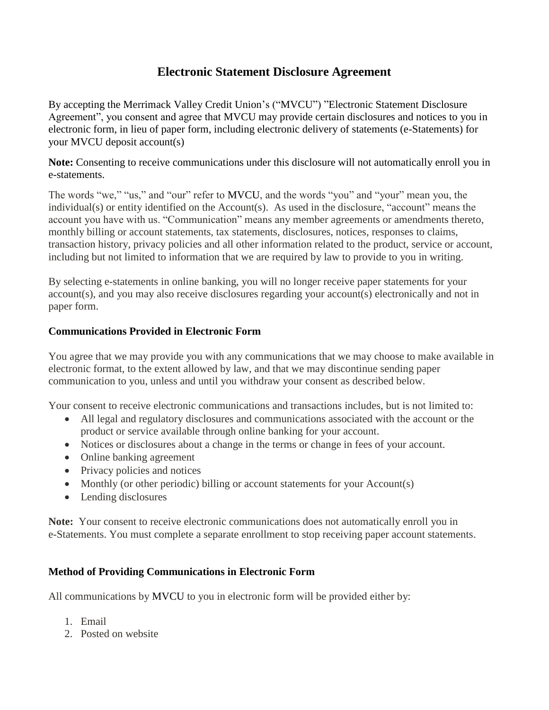# **Electronic Statement Disclosure Agreement**

By accepting the Merrimack Valley Credit Union's ("MVCU") "Electronic Statement Disclosure Agreement", you consent and agree that MVCU may provide certain disclosures and notices to you in electronic form, in lieu of paper form, including electronic delivery of statements (e-Statements) for your MVCU deposit account(s)

**Note:** Consenting to receive communications under this disclosure will not automatically enroll you in e-statements.

The words "we," "us," and "our" refer to MVCU, and the words "you" and "your" mean you, the individual(s) or entity identified on the Account(s). As used in the disclosure, "account" means the account you have with us. "Communication" means any member agreements or amendments thereto, monthly billing or account statements, tax statements, disclosures, notices, responses to claims, transaction history, privacy policies and all other information related to the product, service or account, including but not limited to information that we are required by law to provide to you in writing.

By selecting e-statements in online banking, you will no longer receive paper statements for your account(s), and you may also receive disclosures regarding your account(s) electronically and not in paper form.

#### **Communications Provided in Electronic Form**

You agree that we may provide you with any communications that we may choose to make available in electronic format, to the extent allowed by law, and that we may discontinue sending paper communication to you, unless and until you withdraw your consent as described below.

Your consent to receive electronic communications and transactions includes, but is not limited to:

- All legal and regulatory disclosures and communications associated with the account or the product or service available through online banking for your account.
- Notices or disclosures about a change in the terms or change in fees of your account.
- Online banking agreement
- Privacy policies and notices
- Monthly (or other periodic) billing or account statements for your Account(s)
- Lending disclosures

**Note:** Your consent to receive electronic communications does not automatically enroll you in e-Statements. You must complete a separate enrollment to stop receiving paper account statements.

# **Method of Providing Communications in Electronic Form**

All communications by MVCU to you in electronic form will be provided either by:

- 1. Email
- 2. Posted on website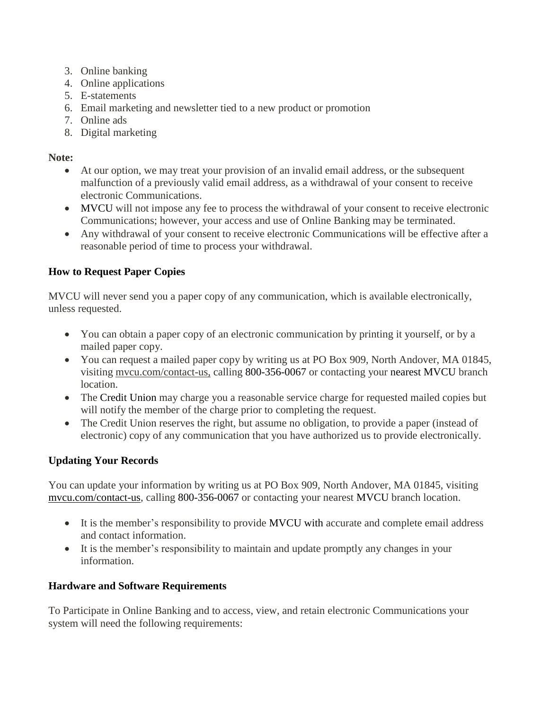- 3. Online banking
- 4. Online applications
- 5. E-statements
- 6. Email marketing and newsletter tied to a new product or promotion
- 7. Online ads
- 8. Digital marketing

#### **Note:**

- At our option, we may treat your provision of an invalid email address, or the subsequent malfunction of a previously valid email address, as a withdrawal of your consent to receive electronic Communications.
- MVCU will not impose any fee to process the withdrawal of your consent to receive electronic Communications; however, your access and use of Online Banking may be terminated.
- Any withdrawal of your consent to receive electronic Communications will be effective after a reasonable period of time to process your withdrawal.

# **How to Request Paper Copies**

MVCU will never send you a paper copy of any communication, which is available electronically, unless requested.

- You can obtain a paper copy of an electronic communication by printing it yourself, or by a mailed paper copy.
- You can request a mailed paper copy by writing us at PO Box 909, North Andover, MA 01845, visiting mvcu.com/contact-us, calling 800-356-0067 or contacting your nearest MVCU branch location.
- The Credit Union may charge you a reasonable service charge for requested mailed copies but will notify the member of the charge prior to completing the request.
- The Credit Union reserves the right, but assume no obligation, to provide a paper (instead of electronic) copy of any communication that you have authorized us to provide electronically.

# **Updating Your Records**

You can update your information by writing us at PO Box 909, North Andover, MA 01845, visiting mvcu.com/contact-us, calling 800-356-0067 or contacting your nearest MVCU branch location.

- It is the member's responsibility to provide MVCU with accurate and complete email address and contact information.
- It is the member's responsibility to maintain and update promptly any changes in your information.

# **Hardware and Software Requirements**

To Participate in Online Banking and to access, view, and retain electronic Communications your system will need the following requirements: